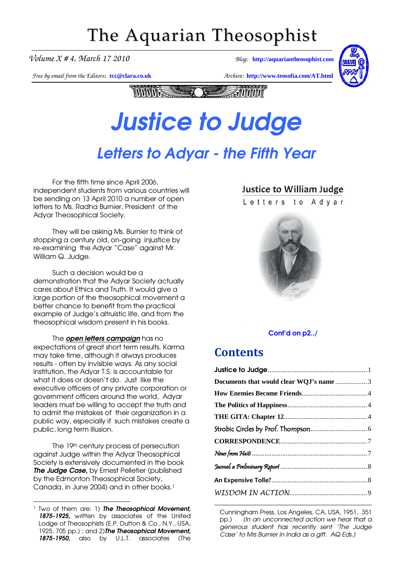## The Aquarian Theosophist

*Volume X # 4, March 17 2010 Blog:* **[http://aquariantheosophist.com](http://aquariantheosophist.com/)**

*Free by email from the Editors:* **[tcc@clara.co.uk](mailto:tcc@clara.co.uk)** *Archive:* **<http://www.teosofia.com/AT.html>**



**Andrin MANIFESSIONER TANK** 

### Justice to Judge Justice to Judge

## Letters to Adyar - the Fifth Year

For the fifth time since April 2006, independent students from various countries will be sending on 13 April 2010 a number of open letters to Ms. Radha Burnier, President of the Adyar Theosophical Society.

They will be asking Ms. Burnier to think of stopping a century old, on-going injustice by re-examining the Adyar "Case" against Mr. William Q. Judge.

Such a decision would be a demonstration that the Adyar Society actually cares about Ethics and Truth. It would give a large portion of the theosophical movement a better chance to benefit from the practical example of Judge's altruistic life, and from the theosophical wisdom present in his books.

The **open letters campaign** has no expectations of great short term results. Karma may take time, although it always produces results - often by invisible ways. As any social institution, the Adyar T.S. is accountable for what it does or doesn't do. Just like the executive officers of any private corporation or government officers around the world, Adyar leaders must be willing to accept the truth and to admit the mistakes of their organization in a public way, especially if such mistakes create a public, long term illusion.

The 19th century process of persecution against Judge within the Adyar Theosophical Society is extensively documented in the book The Judge Case, by Ernest Pelletier (published by the Edmonton Theosophical Society, Canada, in June 2004) and in other books.<sup>1</sup>

### **Justice to William Judge**

Letters to Advar



### [Cont'd on p2../](#page-1-0)

### **Contents**

-

| Documents that would clear WQJ's name 3 |  |
|-----------------------------------------|--|
|                                         |  |
|                                         |  |
|                                         |  |
|                                         |  |
|                                         |  |
|                                         |  |
|                                         |  |
|                                         |  |
|                                         |  |
|                                         |  |

Cunningham Press, Los Angeles, CA, USA, 1951, 351 pp.) (In an unconnected action we hear that a generous student has recently sent 'The Judge Case' to Mrs Burnier in India as a gift. AQ Eds.)

<sup>-</sup><sup>1</sup> Two of them are: 1) The Theosophical Movement, 1875-1925, written by associates of the United Lodge of Theosophists (E.P. Dutton & Co., N.Y., USA, 1925, 705 pp.); and 2) The Theosophical Movement, 1875-1950, also by U.L.T. associates (The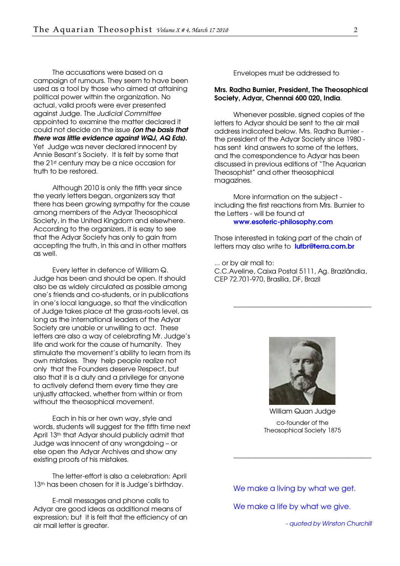<span id="page-1-0"></span>The accusations were based on a campaign of rumours. They seem to have been used as a tool by those who aimed at attaining political power within the organization. No actual, valid proofs were ever presented against Judge. The Judicial Committee appointed to examine the matter declared it could not decide on the issue (on the basis that there was little evidence against WQJ, AQ Eds). Yet Judge was never declared innocent by Annie Besant's Society. It is felt by some that the 21st century may be a nice occasion for truth to be restored.

Although 2010 is only the fifth year since the yearly letters began, organizers say that there has been growing sympathy for the cause among members of the Adyar Theosophical Society, in the United Kingdom and elsewhere. According to the organizers, it is easy to see that the Adyar Society has only to gain from accepting the truth, in this and in other matters as well.

Every letter in defence of William Q. Judge has been and should be open. It should also be as widely circulated as possible among one's friends and co-students, or in publications in one's local language, so that the vindication of Judge takes place at the grass-roots level, as long as the international leaders of the Adyar Society are unable or unwilling to act. These letters are also a way of celebrating Mr. Judge's life and work for the cause of humanity. They stimulate the movement's ability to learn from its own mistakes. They help people realize not only that the Founders deserve Respect, but also that it is a duty and a privilege for anyone to actively defend them every time they are unjustly attacked, whether from within or from without the theosophical movement.

Each in his or her own way, style and words, students will suggest for the fifth time next April 13th that Adyar should publicly admit that Judge was innocent of any wrongdoing – or else open the Adyar Archives and show any existing proofs of his mistakes.

The letter-effort is also a celebration: April 13<sup>th</sup> has been chosen for it is Judge's birthday.

E-mail messages and phone calls to Adyar are good ideas as additional means of expression; but it is felt that the efficiency of an air mail letter is greater.

Envelopes must be addressed to

#### Mrs. Radha Burnier, President, The Theosophical Society, Adyar, Chennai 600 020, India.

Whenever possible, signed copies of the letters to Adyar should be sent to the air mail address indicated below. Mrs. Radha Burnier the president of the Adyar Society since 1980 has sent kind answers to some of the letters, and the correspondence to Adyar has been discussed in previous editions of "The Aquarian Theosophist" and other theosophical magazines.

More information on the subject including the first reactions from Mrs. Burnier to the Letters - will be found at [www.esoteric-philosophy.com](http://www.esoteric-philosophy.com/)

Those interested in taking part of the chain of letters may also write to [lutbr@terra.com.br](mailto:lutbr@terra.com.br)

... or by air mail to: C.C.Aveline, Caixa Postal 5111, Ag. Brazlândia, CEP 72.701-970, Brasília, DF, Brazil



\_\_\_\_\_\_\_\_\_\_\_\_\_\_\_\_\_\_\_\_\_\_\_\_\_\_\_\_\_\_\_\_\_\_\_\_\_\_\_\_\_

William Quan Judge co-founder of the Theosophical Society 1875

\_\_\_\_\_\_\_\_\_\_\_\_\_\_\_\_\_\_\_\_\_\_\_\_\_\_\_\_\_\_\_\_\_\_\_\_\_\_\_\_\_

We make a living by what we get.

We make a life by what we give.

- quoted by Winston Churchill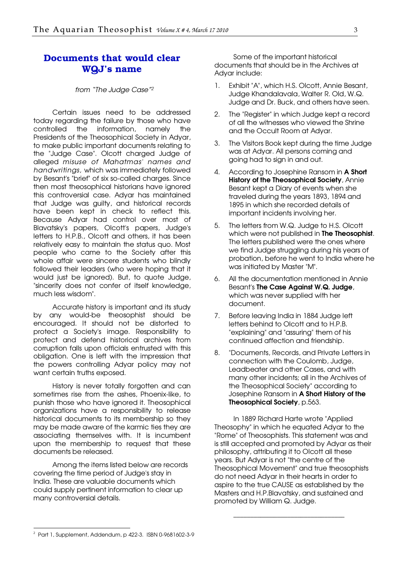### <span id="page-2-0"></span>Documents that would clear WQJ's name

#### from "The Judge Case"<sup>2</sup>

Certain issues need to be addressed today regarding the failure by those who have controlled the information, namely the Presidents of the Theosophical Society in Adyar, to make public important documents relating to the "Judge Case". Olcott charged Judge of alleged misuse of Mahatmas' names and handwritings, which was immediately followed by Besant's "brief" of six so-called charges. Since then most theosophical historians have ignored this controversial case. Adyar has maintained that Judge was guilty, and historical records have been kept in check to reflect this. Because Adyar had control over most of Blavatsky's papers, Olcott's papers, Judge's letters to H.P.B., Olcott and others, it has been relatively easy to maintain the status quo. Most people who came to the Society after this whole affair were sincere students who blindly followed their leaders (who were hoping that it would just be ignored). But, to quote Judge, "sincerity does not confer of itself knowledge, much less wisdom".

Accurate history is important and its study by any would-be theosophist should be encouraged. It should not be distorted to protect a Society's image. Responsibility to protect and defend historical archives from corruption falls upon officials entrusted with this obligation. One is left with the impression that the powers controlling Adyar policy may not want certain truths exposed.

History is never totally forgotten and can sometimes rise from the ashes, Phoenix-like, to punish those who have ignored it. Theosophical organizations have a responsibility to release historical documents to its membership so they may be made aware of the karmic ties they are associating themselves with. It is incumbent upon the membership to request that these documents be released.

Among the items listed below are records covering the time period of Judge's stay in India. These are valuable documents which could supply pertinent information to clear up many controversial details.

Some of the important historical documents that should be in the Archives at Adyar include:

- 1. Exhibit "A", which H.S. Olcott, Annie Besant, Judge Khandalavala, Walter R. Old, W.Q. Judge and Dr. Buck, and others have seen.
- 2. The "Register" in which Judge kept a record of all the witnesses who viewed the Shrine and the Occult Room at Adyar.
- 3. The Visitors Book kept during the time Judge was at Adyar. All persons coming and going had to sign in and out.
- 4. According to Josephine Ransom in A Short History of the Theosophical Society, Annie Besant kept a Diary of events when she traveled during the years 1893, 1894 and 1895 in which she recorded details of important incidents involving her.
- 5. The letters from W.Q. Judge to H.S. Olcott which were not published in **The Theosophist**. The letters published were the ones where we find Judge struggling during his years of probation, before he went to India where he was initiated by Master "M".
- 6. All the documentation mentioned in Annie Besant's The Case Against W.Q. Judge, which was never supplied with her document.
- 7. Before leaving India in 1884 Judge left letters behind to Olcott and to H.P.B. "explaining" and "assuring" them of his continued affection and friendship.
- 8. "Documents, Records, and Private Letters in connection with the Coulomb, Judge, Leadbeater and other Cases, and with many other incidents; all in the Archives of the Theosophical Society" according to Josephine Ransom in A Short History of the Theosophical Society, p.563.

In 1889 Richard Harte wrote "Applied Theosophy" in which he equated Adyar to the "Rome" of Theosophists. This statement was and is still accepted and promoted by Adyar as their philosophy, attributing it to Olcott all these years. But Adyar is not "the centre of the Theosophical Movement" and true theosophists do not need Adyar in their hearts in order to aspire to the true CAUSE as established by the Masters and H.P.Blavatsky, and sustained and promoted by William Q. Judge.

\_\_\_\_\_\_\_\_\_\_\_\_\_\_\_\_\_\_\_\_\_\_\_\_\_\_\_\_\_\_\_\_\_

-

<sup>2</sup> Part 1, Supplement, Addendum, p 422-3. ISBN 0-9681602-3-9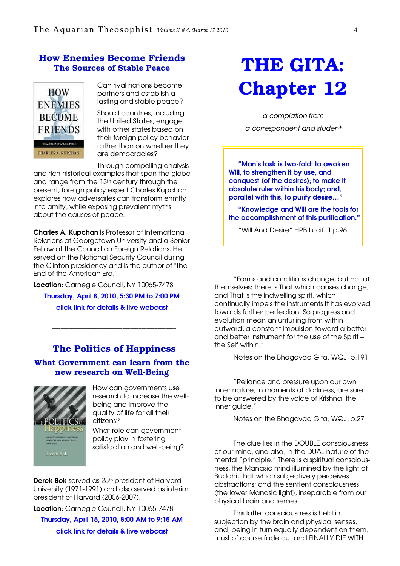### <span id="page-3-0"></span>How Enemies Become Friends The Sources of Stable Peace



Can rival nations become partners and establish a lasting and stable peace?

Should countries, including the United States, engage with other states based on their foreign policy behavior rather than on whether they are democracies?

Through compelling analysis

and rich historical examples that span the globe and range from the 13<sup>th</sup> century through the present, foreign policy expert Charles Kupchan explores how adversaries can transform enmity into amity, while exposing prevalent myths about the causes of peace.

Charles A. Kupchan is Professor of International Relations at Georgetown University and a Senior Fellow at the Council on Foreign Relations. He served on the National Security Council during the Clinton presidency and is the author of "The End of the American Era."

Location: Carnegie Council, NY 10065-7478 Thursday, April 8, 2010, 5:30 PM to 7:00 PM [click link for details & live webcast](http://www.cceia.org/calendar/data/0191.html?sourceDoc=000146)

### The Politics of Happiness

\_\_\_\_\_\_\_\_\_\_\_\_\_\_\_\_\_\_\_\_\_\_\_\_\_\_\_\_\_\_\_\_\_\_\_\_\_\_\_\_\_\_\_\_\_\_

### What Government can learn from the new research on Well-Being



How can governments use research to increase the wellbeing and improve the quality of life for all their citizens?

What role can government policy play in fostering satisfaction and well-being?

Derek Bok served as 25<sup>th</sup> president of Harvard University (1971-1991) and also served as interim president of Harvard (2006-2007).

Location: Carnegie Council, NY 10065-7478 Thursday, April 15, 2010, 8:00 AM to 9:15 AM [click link for details & live webcast](http://www.cceia.org/calendar/data/0191.html?sourceDoc=000146)

## THE GITA: Chapter 12

a complation from a correspondent and student

"Man's task is two-fold: to awaken Will, to strengthen it by use, and conquest (of the desires); to make it absolute ruler within his body; and, parallel with this, to purify desire…"

"Knowledge and Will are the tools for the accomplishment of this purification."

"Will And Desire" HPB Lucif. 1 p.96

"Forms and conditions change, but not of themselves; there is That which causes change, and That is the indwelling spirit, which continually impels the instruments It has evolved towards further perfection. So progress and evolution mean an unfurling from within outward, a constant impulsion toward a better and better instrument for the use of the Spirit – the Self within."

Notes on the Bhagavad Gita, WQJ, p.191

"Reliance and pressure upon our own inner nature, in moments of darkness, are sure to be answered by the voice of Krishna, the inner guide."

Notes on the Bhagavad Gita, WQJ, p.27

The clue lies in the DOUBLE consciousness of our mind, and also, in the DUAL nature of the mental "principle." There is a spiritual consciousness, the Manasic mind illumined by the light of Buddhi, that which subjectively perceives abstractions; and the sentient consciousness (the lower Manasic light), inseparable from our physical brain and senses.

This latter consciousness is held in subjection by the brain and physical senses, and, being in turn equally dependent on them, must of course fade out and FINALLY DIE WITH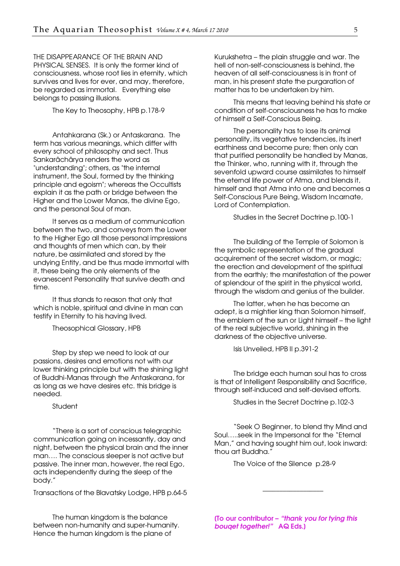THE DISAPPEARANCE OF THE BRAIN AND PHYSICAL SENSES. It is only the former kind of consciousness, whose root lies in eternity, which survives and lives for ever, and may, therefore, be regarded as immortal. Everything else belongs to passing illusions.

The Key to Theosophy, HPB p.178-9

Antahkarana (Sk.) or Antaskarana. The term has various meanings, which differ with every school of philosophy and sect. Thus Sankarâchârya renders the word as "understanding"; others, as "the internal instrument, the Soul, formed by the thinking principle and egoism"; whereas the Occultists explain it as the path or bridge between the Higher and the Lower Manas, the divine Ego, and the personal Soul of man.

It serves as a medium of communication between the two, and conveys from the Lower to the Higher Ego all those personal impressions and thoughts of men which can, by their nature, be assimilated and stored by the undying Entity, and be thus made immortal with it, these being the only elements of the evanescent Personality that survive death and time.

It thus stands to reason that only that which is noble, spiritual and divine in man can testify in Eternity to his having lived.

Theosophical Glossary, HPB

Step by step we need to look at our passions, desires and emotions not with our lower thinking principle but with the shining light of Buddhi-Manas through the Antaskarana, for as long as we have desires etc. this bridge is needed.

Student

"There is a sort of conscious telegraphic communication going on incessantly, day and night, between the physical brain and the inner man…. The conscious sleeper is not active but passive. The inner man, however, the real Ego, acts independently during the sleep of the body."

Transactions of the Blavatsky Lodge, HPB p.64-5

The human kingdom is the balance between non-humanity and super-humanity. Hence the human kingdom is the plane of

Kurukshetra – the plain struggle and war. The hell of non-self-consciousness is behind, the heaven of all self-consciousness is in front of man, in his present state the purgaration of matter has to be undertaken by him.

This means that leaving behind his state or condition of self-consciousness he has to make of himself a Self-Conscious Being.

The personality has to lose its animal personality, its vegetative tendencies, its inert earthiness and become pure; then only can that purified personality be handled by Manas, the Thinker, who, running with it, through the sevenfold upward course assimilates to himself the eternal life power of Atma, and blends it, himself and that Atma into one and becomes a Self-Conscious Pure Being, Wisdom Incarnate, Lord of Contemplation.

Studies in the Secret Doctrine p.100-1

The building of the Temple of Solomon is the symbolic representation of the gradual acquirement of the secret wisdom, or magic; the erection and development of the spiritual from the earthly; the manifestation of the power of splendour of the spirit in the physical world, through the wisdom and genius of the builder.

The latter, when he has become an adept, is a mightier king than Solomon himself, the emblem of the sun or Light himself – the light of the real subjective world, shining in the darkness of the objective universe.

Isis Unveiled, HPB II p.391-2

The bridge each human soul has to cross is that of Intelligent Responsibility and Sacrifice, through self-induced and self-devised efforts.

Studies in the Secret Doctrine p.102-3

"Seek O Beginner, to blend thy Mind and Soul…..seek in the Impersonal for the "Eternal Man," and having sought him out, look inward: thou art Buddha."

\_\_\_\_\_\_\_\_\_\_\_\_\_\_\_\_\_\_

The Voice of the Silence p.28-9

[To our contributor – "thank you for tying this bouqet together!" AQ Eds.]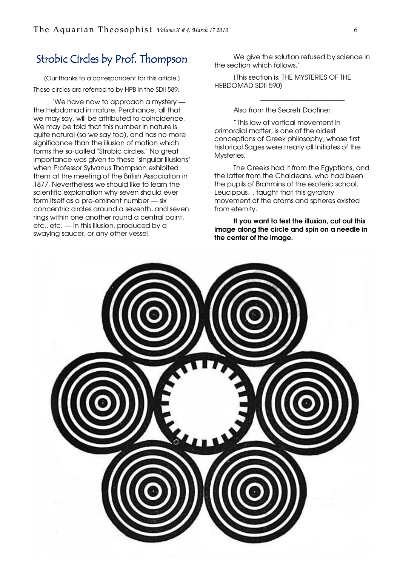### <span id="page-5-0"></span>Strobic Circles by Prof. Thompson

[Our thanks to a correspondent for this article.] These circles are referred to by HPB in the SDII 589:

"We have now to approach a mystery the Hebdomad in nature. Perchance, all that we may say, will be attributed to coincidence. We may be told that this number in nature is quite natural (so we say too), and has no more significance than the illusion of motion which forms the so-called "Strobic circles." No great importance was given to these "singular illusions" when Professor Sylvanus Thompson exhibited them at the meeting of the British Association in 1877. Nevertheless we should like to learn the scientific explanation why seven should ever form itself as a pre-eminent number — six concentric circles around a seventh, and seven rings within one another round a central point, etc., etc. — in this illusion, produced by a swaying saucer, or any other vessel.

We give the solution refused by science in the section which follows."

\_\_\_\_\_\_\_\_\_\_\_\_\_\_\_\_\_\_\_\_\_\_\_\_\_

[This section is: THE MYSTERIES OF THE HEBDOMAD SDII 590]

Also from the Secretr Doctine:

"This law of vortical movement in primordial matter, is one of the oldest conceptions of Greek philosophy, whose first historical Sages were nearly all Initiates of the Mysteries.

The Greeks had it from the Egyptians, and the latter from the Chaldeans, who had been the pupils of Brahmins of the esoteric school. Leucippus… taught that this gyratory movement of the atoms and spheres existed from eternity.

If you want to test the illusion, cut out this image along the circle and spin on a needle in the center of the image.

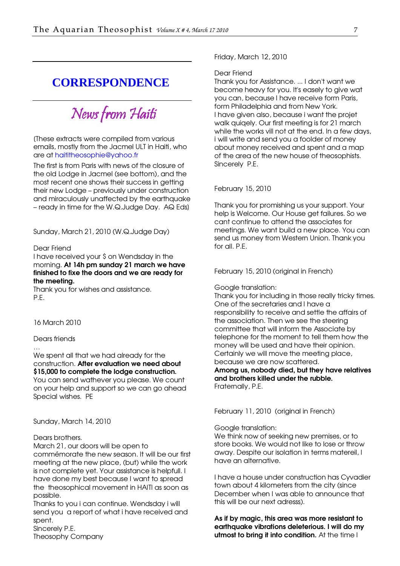### <span id="page-6-0"></span>**CORRESPONDENCE**

News from Haiti

[These extracts were compiled from various emails, mostly from the Jacmel ULT in Haiti, who are at [haititheosophie@yahoo.fr](mailto:haititheosophie@yahoo.fr) 

The first is from Paris with news of the closure of the old Lodge in Jacmel (see bottom), and the most recent one shows their success in getting their new Lodge – previously under construction and miraculously unaffected by the earthquake – ready in time for the W.Q.Judge Day. AQ Eds]

Sunday, March 21, 2010 (W.Q.Judge Day)

### Dear Friend

I have received your \$ on Wendsday in the morning. At 14h pm sunday 21 march we have finished to fixe the doors and we are ready for the meeting.

Thank you for wishes and assistance. P.E.

16 March 2010

Dears friends

…

We spent all that we had already for the construction. After evaluation we need about \$15,000 to complete the lodge construction. You can send wathever you please. We count on your help and support so we can go ahead

Sunday, March 14, 2010

Special wishes. PE

### Dears brothers.

March 21, our doors will be open to commémorate the new season. It will be our first meeting at the new place, (but) while the work is not complete yet. Your assistance is helpfull. I have done my best because I want to spread the theosophical movement in HAITI as soon as possible.

Thanks to you i can continue. Wendsday i will send you a report of what i have received and spent.

Sincerely P.E. Theosophy Company Friday, March 12, 2010

#### Dear Friend

Thank you for Assistance. ... I don't want we become heavy for you. It's easely to give wat you can, because I have receive form Paris, form Philadelphia and from New York. I have given also, because i want the projet walk quiqely. Our first meeting is for 21 march while the works vill not at the end. In a few days, i will write and send you a foolder of money about money received and spent and a map of the area of the new house of theosophists. Sincerely P.E.

#### February 15, 2010

Thank you for promishing us your support. Your help is Welcome. Our House get failures. So we cant continue to attend the associates for meetings. We want build a new place. You can send us money from Western Union. Thank you for all. P.E.

February 15, 2010 (original in French)

Google translation:

Thank you for including in those really tricky times. One of the secretaries and I have a responsibility to receive and settle the affairs of the association. Then we see the steering committee that will inform the Associate by telephone for the moment to tell them how the money will be used and have their opinion. Certainly we will move the meeting place, because we are now scattered.

Among us, nobody died, but they have relatives and brothers killed under the rubble. Fraternally, P.E.

February 11, 2010 (original in French)

Google translation:

We think now of seeking new premises, or to store books. We would not like to lose or throw away. Despite our isolation in terms matereil, I have an alternative.

I have a house under construction has Cyvadier town about 4 kilometers from the city (since December when I was able to announce that this will be our next adresss).

As if by magic, this area was more resistant to earthquake vibrations deleterious. I will do my utmost to bring it into condition. At the time I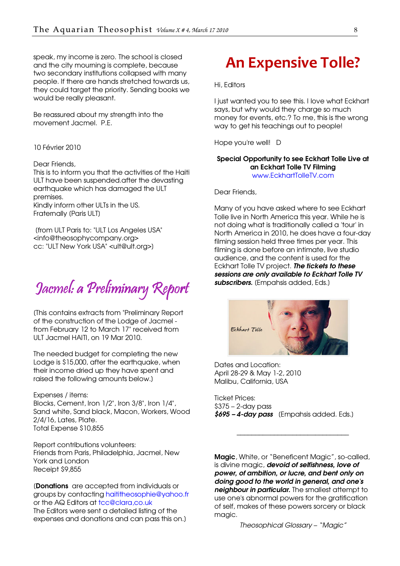<span id="page-7-0"></span>speak, my income is zero. The school is closed and the city mourning is complete, because two secondary institutions collapsed with many people. If there are hands stretched towards us, they could target the priority. Sending books we would be really pleasant.

Be reassured about my strength into the movement Jacmel. P.E.

10 Février 2010

#### Dear Friends,

This is to inform you that the activities of the Haiti ULT have been suspended.after the devasting earthquake which has damaged the ULT premises. Kindly inform other ULTs in the US.

Fraternally [Paris ULT]

 [from ULT Paris to: "ULT Los Angeles USA" <info@theosophycompany.org> cc: "ULT New York USA" <ult@ult.org>]

Jacmel: a Preliminary Report

[This contains extracts from "Preliminary Report of the construction of the Lodge of Jacmel from February 12 to March 17" received from ULT Jacmel HAITI, on 19 Mar 2010.

The needed budget for completing the new Lodge is \$15,000, after the earthquake, when their income dried up they have spent and raised the following amounts below.]

#### Expenses / items:

Blocks, Cement, Iron 1/2", Iron 3/8", Iron 1/4", Sand white, Sand black, Macon, Workers, Wood 2/4/16, Lates, Plate. Total Expense \$10,855

Report contributions volunteers: Friends from Paris, Philadelphia, Jacmel, New York and London Receipt \$9,855

[Donations are accepted from individuals or groups by contacting [haititheosophie@yahoo.fr](mailto:haititheosophie@yahoo.fr) or the AQ Editors at [tcc@clara,co.uk](mailto:tcc@clara,co.uk) The Editors were sent a detailed listing of the

expenses and donations and can pass this on.]

## An Expensive Tolle?

Hi, Editors

I just wanted you to see this. I love what Eckhart says, but why would they charge so much money for events, etc.? To me, this is the wrong way to get his teachings out to people!

Hope you're well! D

### Special Opportunity to see Eckhart Tolle Live at an Eckhart Tolle TV Filming

[www.EckhartTolleTV.com](http://www.eckharttolletv.com/)

Dear Friends,

Many of you have asked where to see Eckhart Tolle live in North America this year. While he is not doing what is traditionally called a 'tour' in North America in 2010, he does have a four-day filming session held three times per year. This filming is done before an intimate, live studio audience, and the content is used for the Eckhart Tolle TV project. The tickets to these sessions are only available to Eckhart Tolle TV subscribers. (Empahsis added, Eds.)



Dates and Location: April 28-29 & May 1-2, 2010 Malibu, California, USA

Ticket Prices: \$375 – 2-day pass  $$695 - 4$ -day pass (Empahsis added. Eds.)

Magic, White, or "Beneficent Magic", so-called, is divine magic, devoid of selfishness, love of power, of ambition, or lucre, and bent only on doing good to the world in general, and one's neighbour in particular. The smallest attempt to use one's abnormal powers for the gratification of self, makes of these powers sorcery or black magic.

\_\_\_\_\_\_\_\_\_\_\_\_\_\_\_\_\_\_\_\_\_\_\_\_\_\_\_\_\_\_

Theosophical Glossary – "Magic"